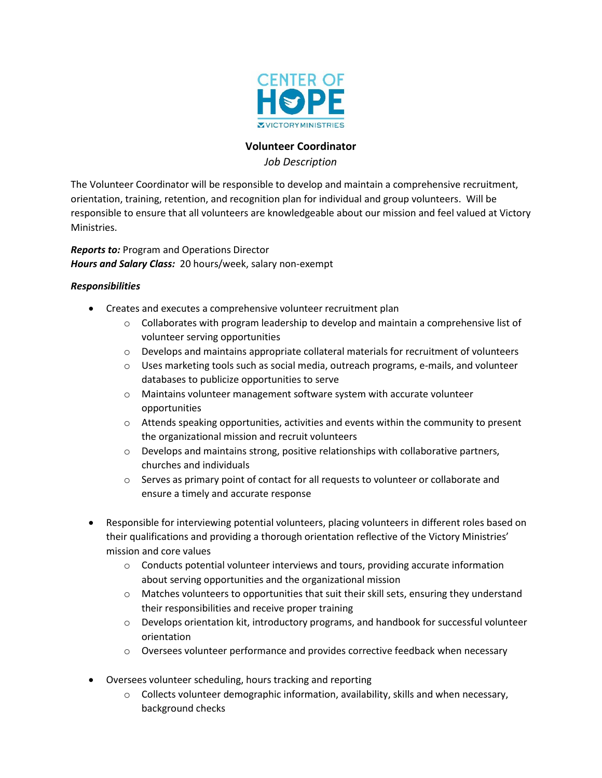

# **Volunteer Coordinator**

*Job Description*

The Volunteer Coordinator will be responsible to develop and maintain a comprehensive recruitment, orientation, training, retention, and recognition plan for individual and group volunteers. Will be responsible to ensure that all volunteers are knowledgeable about our mission and feel valued at Victory Ministries.

*Reports to:* Program and Operations Director *Hours and Salary Class:* 20 hours/week, salary non-exempt

# *Responsibilities*

- Creates and executes a comprehensive volunteer recruitment plan
	- $\circ$  Collaborates with program leadership to develop and maintain a comprehensive list of volunteer serving opportunities
	- $\circ$  Develops and maintains appropriate collateral materials for recruitment of volunteers
	- $\circ$  Uses marketing tools such as social media, outreach programs, e-mails, and volunteer databases to publicize opportunities to serve
	- o Maintains volunteer management software system with accurate volunteer opportunities
	- $\circ$  Attends speaking opportunities, activities and events within the community to present the organizational mission and recruit volunteers
	- $\circ$  Develops and maintains strong, positive relationships with collaborative partners, churches and individuals
	- $\circ$  Serves as primary point of contact for all requests to volunteer or collaborate and ensure a timely and accurate response
- Responsible for interviewing potential volunteers, placing volunteers in different roles based on their qualifications and providing a thorough orientation reflective of the Victory Ministries' mission and core values
	- $\circ$  Conducts potential volunteer interviews and tours, providing accurate information about serving opportunities and the organizational mission
	- $\circ$  Matches volunteers to opportunities that suit their skill sets, ensuring they understand their responsibilities and receive proper training
	- $\circ$  Develops orientation kit, introductory programs, and handbook for successful volunteer orientation
	- $\circ$  Oversees volunteer performance and provides corrective feedback when necessary
- Oversees volunteer scheduling, hours tracking and reporting
	- $\circ$  Collects volunteer demographic information, availability, skills and when necessary, background checks